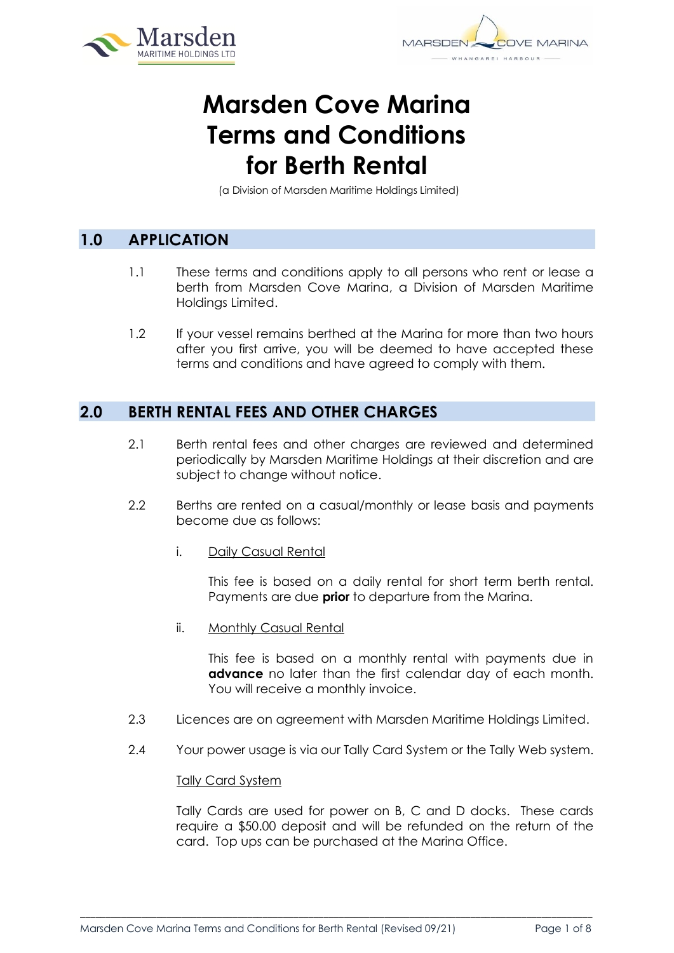

# **Marsden Cove Marina Terms and Conditions for Berth Rental**

(a Division of Marsden Maritime Holdings Limited)

# **1.0 APPLICATION**

- 1.1 These terms and conditions apply to all persons who rent or lease a berth from Marsden Cove Marina, a Division of Marsden Maritime Holdings Limited.
- 1.2 If your vessel remains berthed at the Marina for more than two hours after you first arrive, you will be deemed to have accepted these terms and conditions and have agreed to comply with them.

# **2.0 BERTH RENTAL FEES AND OTHER CHARGES**

- 2.1 Berth rental fees and other charges are reviewed and determined periodically by Marsden Maritime Holdings at their discretion and are subject to change without notice.
- 2.2 Berths are rented on a casual/monthly or lease basis and payments become due as follows:
	- i. Daily Casual Rental

This fee is based on a daily rental for short term berth rental. Payments are due **prior** to departure from the Marina.

ii. Monthly Casual Rental

This fee is based on a monthly rental with payments due in **advance** no later than the first calendar day of each month. You will receive a monthly invoice.

- 2.3 Licences are on agreement with Marsden Maritime Holdings Limited.
- 2.4 Your power usage is via our Tally Card System or the Tally Web system.

\_\_\_\_\_\_\_\_\_\_\_\_\_\_\_\_\_\_\_\_\_\_\_\_\_\_\_\_\_\_\_\_\_\_\_\_\_\_\_\_\_\_\_\_\_\_\_\_\_\_\_\_\_\_\_\_\_\_\_\_\_\_\_\_\_\_\_\_\_\_\_\_\_\_\_\_\_\_\_\_\_\_\_\_\_\_\_\_\_\_\_\_\_\_\_\_\_\_\_\_\_

#### Tally Card System

Tally Cards are used for power on B, C and D docks. These cards require a \$50.00 deposit and will be refunded on the return of the card. Top ups can be purchased at the Marina Office.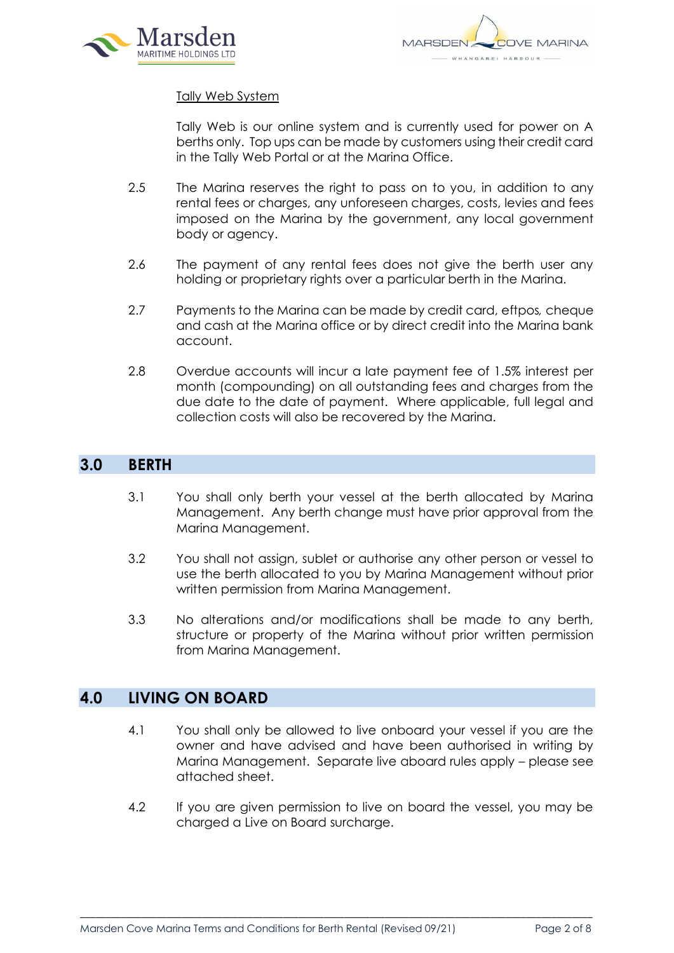

#### Tally Web System

Tally Web is our online system and is currently used for power on A berths only. Top ups can be made by customers using their credit card in the Tally Web Portal or at the Marina Office.

- 2.5 The Marina reserves the right to pass on to you, in addition to any rental fees or charges, any unforeseen charges, costs, levies and fees imposed on the Marina by the government, any local government body or agency.
- 2.6 The payment of any rental fees does not give the berth user any holding or proprietary rights over a particular berth in the Marina.
- 2.7 Payments to the Marina can be made by credit card, eftpos*,* cheque and cash at the Marina office or by direct credit into the Marina bank account.
- 2.8 Overdue accounts will incur a late payment fee of 1.5% interest per month (compounding) on all outstanding fees and charges from the due date to the date of payment. Where applicable, full legal and collection costs will also be recovered by the Marina.

#### **3.0 BERTH**

- 3.1 You shall only berth your vessel at the berth allocated by Marina Management. Any berth change must have prior approval from the Marina Management.
- 3.2 You shall not assign, sublet or authorise any other person or vessel to use the berth allocated to you by Marina Management without prior written permission from Marina Management.
- 3.3 No alterations and/or modifications shall be made to any berth, structure or property of the Marina without prior written permission from Marina Management.

#### **4.0 LIVING ON BOARD**

- 4.1 You shall only be allowed to live onboard your vessel if you are the owner and have advised and have been authorised in writing by Marina Management. Separate live aboard rules apply – please see attached sheet.
- 4.2 If you are given permission to live on board the vessel, you may be charged a Live on Board surcharge.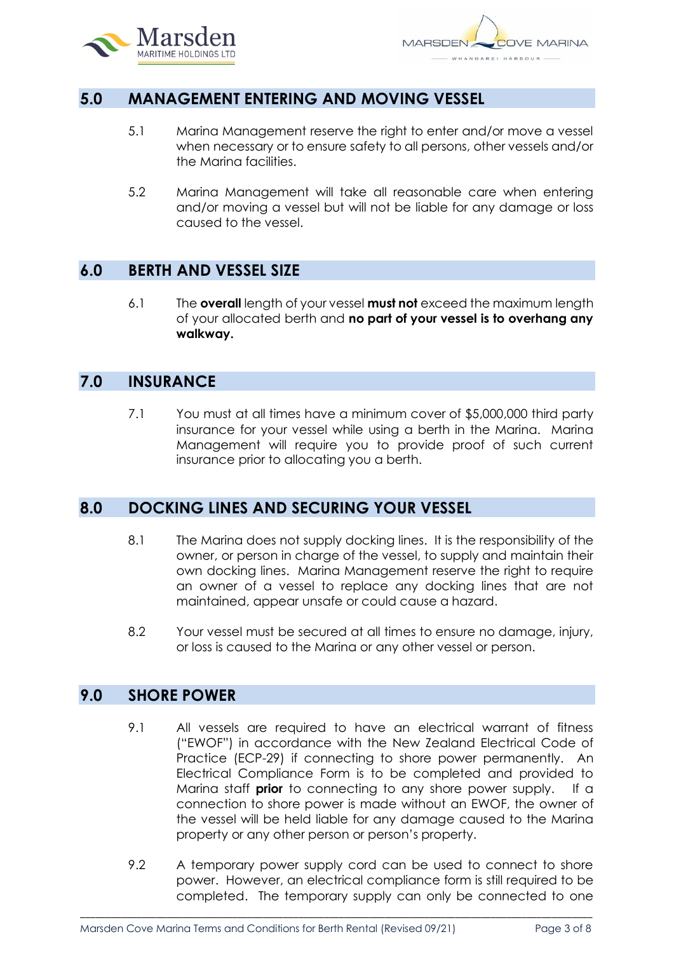

## **5.0 MANAGEMENT ENTERING AND MOVING VESSEL**

- 5.1 Marina Management reserve the right to enter and/or move a vessel when necessary or to ensure safety to all persons, other vessels and/or the Marina facilities.
- 5.2 Marina Management will take all reasonable care when entering and/or moving a vessel but will not be liable for any damage or loss caused to the vessel.

## **6.0 BERTH AND VESSEL SIZE**

6.1 The **overall** length of your vessel **must not** exceed the maximum length of your allocated berth and **no part of your vessel is to overhang any walkway.**

#### **7.0 INSURANCE**

7.1 You must at all times have a minimum cover of \$5,000,000 third party insurance for your vessel while using a berth in the Marina. Marina Management will require you to provide proof of such current insurance prior to allocating you a berth.

#### **8.0 DOCKING LINES AND SECURING YOUR VESSEL**

- 8.1 The Marina does not supply docking lines. It is the responsibility of the owner, or person in charge of the vessel, to supply and maintain their own docking lines. Marina Management reserve the right to require an owner of a vessel to replace any docking lines that are not maintained, appear unsafe or could cause a hazard.
- 8.2 Your vessel must be secured at all times to ensure no damage, injury, or loss is caused to the Marina or any other vessel or person.

## **9.0 SHORE POWER**

- 9.1 All vessels are required to have an electrical warrant of fitness ("EWOF") in accordance with the New Zealand Electrical Code of Practice (ECP-29) if connecting to shore power permanently. An Electrical Compliance Form is to be completed and provided to Marina staff **prior** to connecting to any shore power supply. If a connection to shore power is made without an EWOF, the owner of the vessel will be held liable for any damage caused to the Marina property or any other person or person's property.
- 9.2 A temporary power supply cord can be used to connect to shore power. However, an electrical compliance form is still required to be completed. The temporary supply can only be connected to one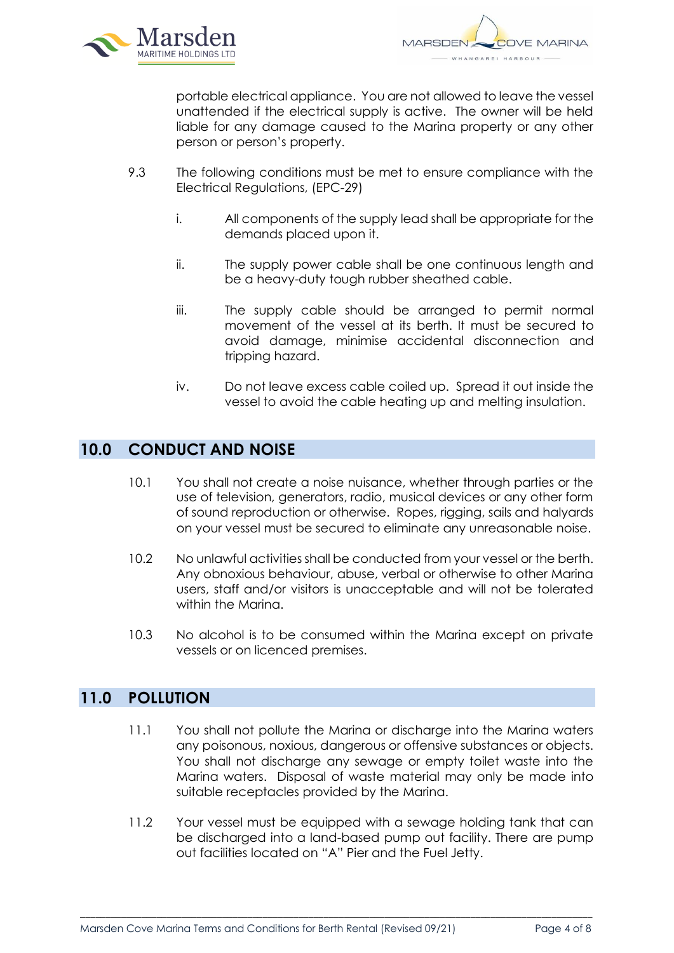

portable electrical appliance. You are not allowed to leave the vessel unattended if the electrical supply is active. The owner will be held liable for any damage caused to the Marina property or any other person or person's property.

- 9.3 The following conditions must be met to ensure compliance with the Electrical Regulations, (EPC-29)
	- i. All components of the supply lead shall be appropriate for the demands placed upon it.
	- ii. The supply power cable shall be one continuous length and be a heavy-duty tough rubber sheathed cable.
	- iii. The supply cable should be arranged to permit normal movement of the vessel at its berth. It must be secured to avoid damage, minimise accidental disconnection and tripping hazard.
	- iv. Do not leave excess cable coiled up. Spread it out inside the vessel to avoid the cable heating up and melting insulation.

# **10.0 CONDUCT AND NOISE**

- 10.1 You shall not create a noise nuisance, whether through parties or the use of television, generators, radio, musical devices or any other form of sound reproduction or otherwise. Ropes, rigging, sails and halyards on your vessel must be secured to eliminate any unreasonable noise.
- 10.2 No unlawful activities shall be conducted from your vessel or the berth. Any obnoxious behaviour, abuse, verbal or otherwise to other Marina users, staff and/or visitors is unacceptable and will not be tolerated within the Marina.
- 10.3 No alcohol is to be consumed within the Marina except on private vessels or on licenced premises.

## **11.0 POLLUTION**

- 11.1 You shall not pollute the Marina or discharge into the Marina waters any poisonous, noxious, dangerous or offensive substances or objects. You shall not discharge any sewage or empty toilet waste into the Marina waters. Disposal of waste material may only be made into suitable receptacles provided by the Marina.
- 11.2 Your vessel must be equipped with a sewage holding tank that can be discharged into a land-based pump out facility. There are pump out facilities located on "A" Pier and the Fuel Jetty.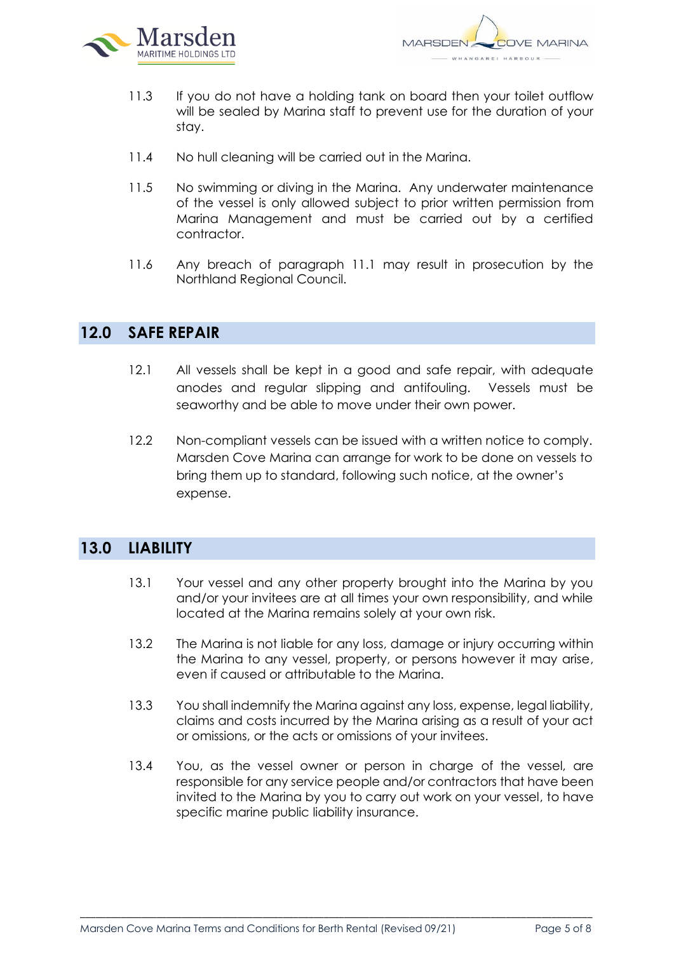

- 11.3 If you do not have a holding tank on board then your toilet outflow will be sealed by Marina staff to prevent use for the duration of your stay.
- 11.4 No hull cleaning will be carried out in the Marina.
- 11.5 No swimming or diving in the Marina. Any underwater maintenance of the vessel is only allowed subject to prior written permission from Marina Management and must be carried out by a certified contractor.
- 11.6 Any breach of paragraph 11.1 may result in prosecution by the Northland Regional Council.

#### **12.0 SAFE REPAIR**

- 12.1 All vessels shall be kept in a good and safe repair, with adequate anodes and regular slipping and antifouling. Vessels must be seaworthy and be able to move under their own power.
- 12.2 Non-compliant vessels can be issued with a written notice to comply. Marsden Cove Marina can arrange for work to be done on vessels to bring them up to standard, following such notice, at the owner's expense.

## **13.0 LIABILITY**

- 13.1 Your vessel and any other property brought into the Marina by you and/or your invitees are at all times your own responsibility, and while located at the Marina remains solely at your own risk.
- 13.2 The Marina is not liable for any loss, damage or injury occurring within the Marina to any vessel, property, or persons however it may arise, even if caused or attributable to the Marina.
- 13.3 You shall indemnify the Marina against any loss, expense, legal liability, claims and costs incurred by the Marina arising as a result of your act or omissions, or the acts or omissions of your invitees.
- 13.4 You, as the vessel owner or person in charge of the vessel, are responsible for any service people and/or contractors that have been invited to the Marina by you to carry out work on your vessel, to have specific marine public liability insurance.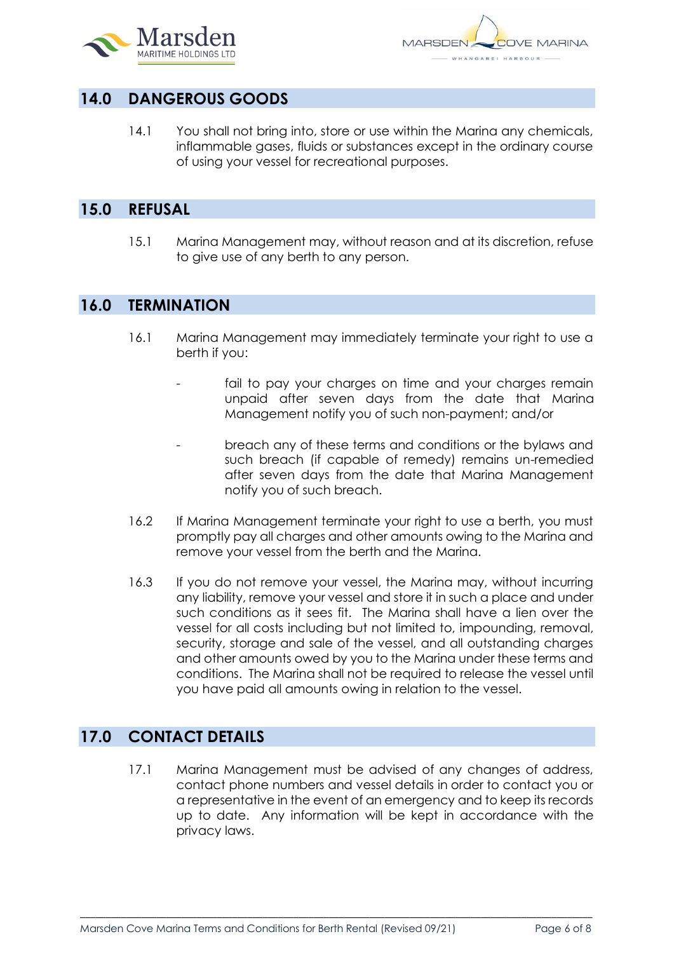

# **14.0 DANGEROUS GOODS**

14.1 You shall not bring into, store or use within the Marina any chemicals, inflammable gases, fluids or substances except in the ordinary course of using your vessel for recreational purposes.

## **15.0 REFUSAL**

15.1 Marina Management may, without reason and at its discretion, refuse to give use of any berth to any person.

## **16.0 TERMINATION**

- 16.1 Marina Management may immediately terminate your right to use a berth if you:
	- fail to pay your charges on time and your charges remain unpaid after seven days from the date that Marina Management notify you of such non-payment; and/or
	- breach any of these terms and conditions or the bylaws and such breach (if capable of remedy) remains un-remedied after seven days from the date that Marina Management notify you of such breach.
- 16.2 If Marina Management terminate your right to use a berth, you must promptly pay all charges and other amounts owing to the Marina and remove your vessel from the berth and the Marina.
- 16.3 If you do not remove your vessel, the Marina may, without incurring any liability, remove your vessel and store it in such a place and under such conditions as it sees fit. The Marina shall have a lien over the vessel for all costs including but not limited to, impounding, removal, security, storage and sale of the vessel, and all outstanding charges and other amounts owed by you to the Marina under these terms and conditions. The Marina shall not be required to release the vessel until you have paid all amounts owing in relation to the vessel.

# **17.0 CONTACT DETAILS**

17.1 Marina Management must be advised of any changes of address, contact phone numbers and vessel details in order to contact you or a representative in the event of an emergency and to keep its records up to date. Any information will be kept in accordance with the privacy laws.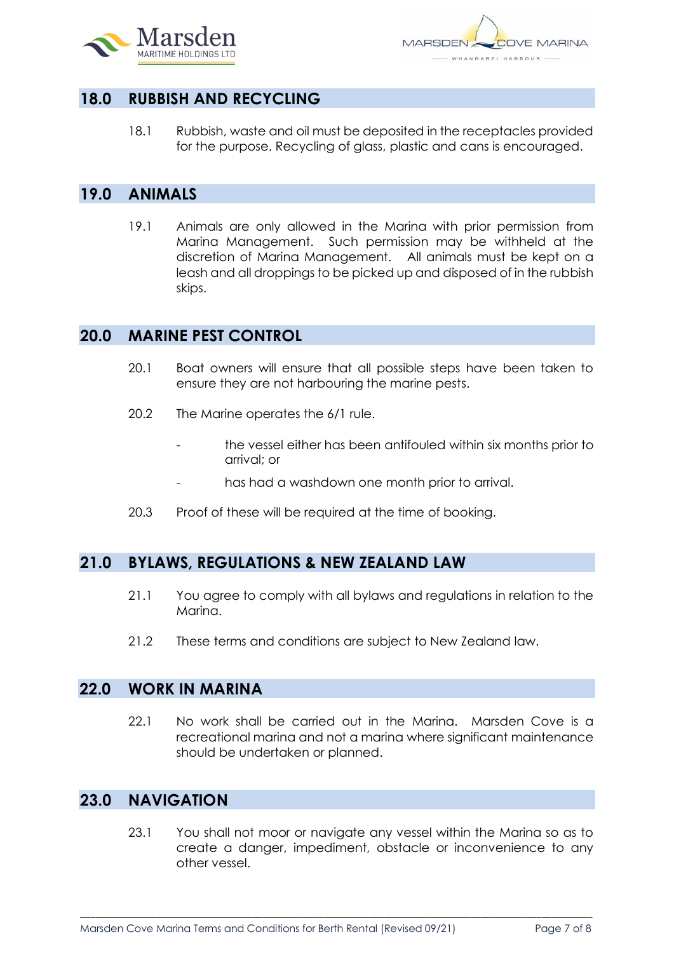

# **18.0 RUBBISH AND RECYCLING**

18.1 Rubbish, waste and oil must be deposited in the receptacles provided for the purpose. Recycling of glass, plastic and cans is encouraged.

## **19.0 ANIMALS**

19.1 Animals are only allowed in the Marina with prior permission from Marina Management. Such permission may be withheld at the discretion of Marina Management. All animals must be kept on a leash and all droppings to be picked up and disposed of in the rubbish skips.

#### **20.0 MARINE PEST CONTROL**

- 20.1 Boat owners will ensure that all possible steps have been taken to ensure they are not harbouring the marine pests.
- 20.2 The Marine operates the 6/1 rule.
	- the vessel either has been antifouled within six months prior to arrival; or
	- has had a washdown one month prior to arrival.
- 20.3 Proof of these will be required at the time of booking.

#### **21.0 BYLAWS, REGULATIONS & NEW ZEALAND LAW**

- 21.1 You agree to comply with all bylaws and regulations in relation to the Marina.
- 21.2 These terms and conditions are subject to New Zealand law.

#### **22.0 WORK IN MARINA**

22.1 No work shall be carried out in the Marina. Marsden Cove is a recreational marina and not a marina where significant maintenance should be undertaken or planned.

#### **23.0 NAVIGATION**

23.1 You shall not moor or navigate any vessel within the Marina so as to create a danger, impediment, obstacle or inconvenience to any other vessel.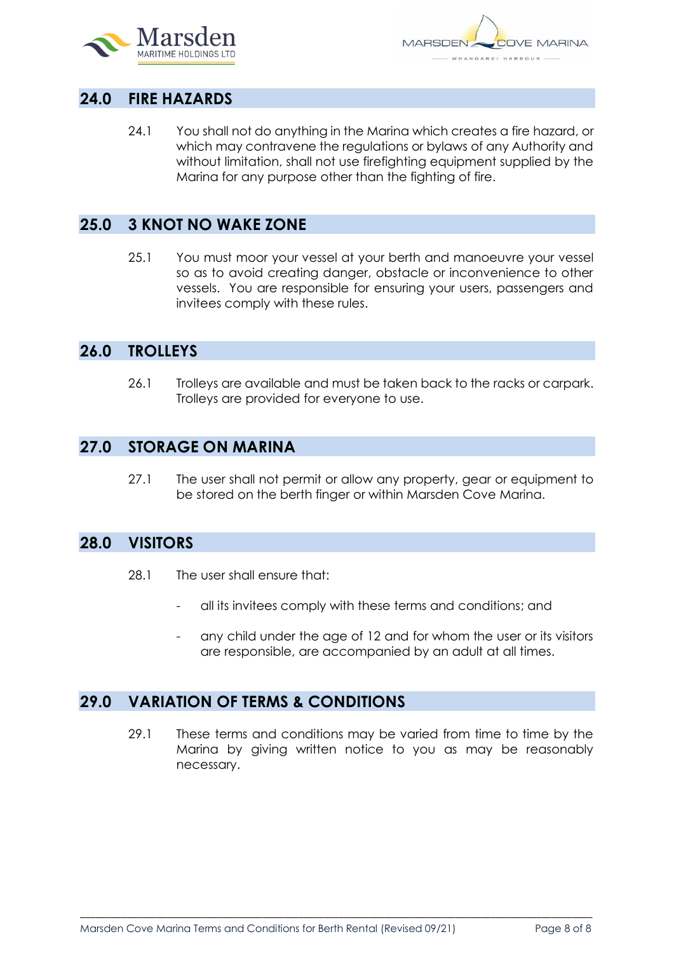

## **24.0 FIRE HAZARDS**

24.1 You shall not do anything in the Marina which creates a fire hazard, or which may contravene the regulations or bylaws of any Authority and without limitation, shall not use firefighting equipment supplied by the Marina for any purpose other than the fighting of fire.

## **25.0 3 KNOT NO WAKE ZONE**

25.1 You must moor your vessel at your berth and manoeuvre your vessel so as to avoid creating danger, obstacle or inconvenience to other vessels. You are responsible for ensuring your users, passengers and invitees comply with these rules.

#### **26.0 TROLLEYS**

26.1 Trolleys are available and must be taken back to the racks or carpark. Trolleys are provided for everyone to use.

## **27.0 STORAGE ON MARINA**

27.1 The user shall not permit or allow any property, gear or equipment to be stored on the berth finger or within Marsden Cove Marina.

### **28.0 VISITORS**

- 28.1 The user shall ensure that:
	- all its invitees comply with these terms and conditions; and
	- any child under the age of 12 and for whom the user or its visitors are responsible, are accompanied by an adult at all times.

# **29.0 VARIATION OF TERMS & CONDITIONS**

29.1 These terms and conditions may be varied from time to time by the Marina by giving written notice to you as may be reasonably necessary.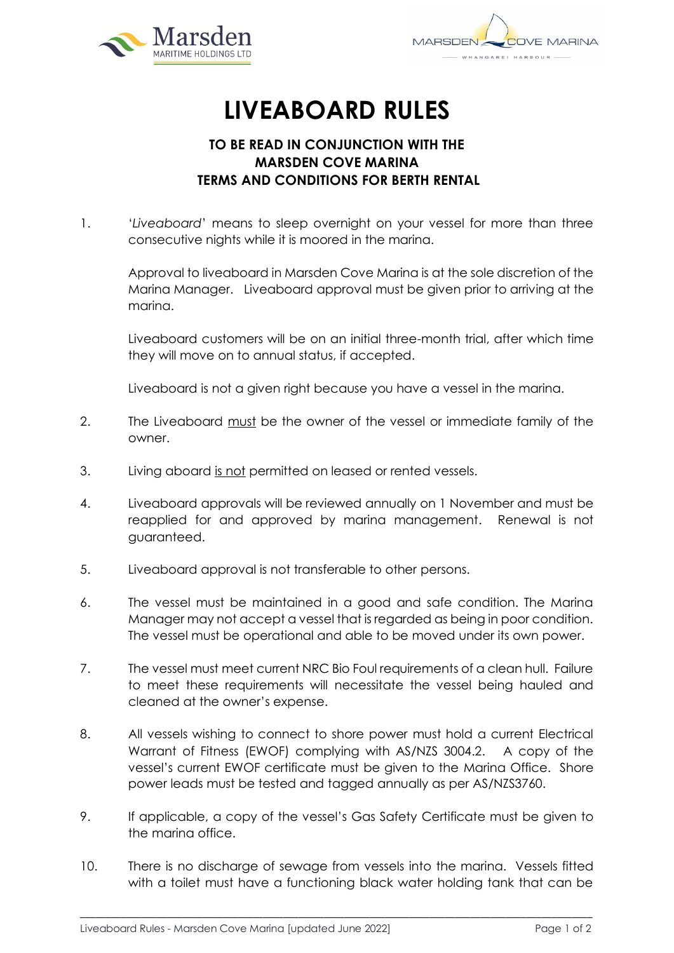



# **LIVEABOARD RULES**

## **TO BE READ IN CONJUNCTION WITH THE MARSDEN COVE MARINA TERMS AND CONDITIONS FOR BERTH RENTAL**

1. '*Liveaboard*' means to sleep overnight on your vessel for more than three consecutive nights while it is moored in the marina.

Approval to liveaboard in Marsden Cove Marina is at the sole discretion of the Marina Manager. Liveaboard approval must be given prior to arriving at the marina.

Liveaboard customers will be on an initial three-month trial, after which time they will move on to annual status, if accepted.

Liveaboard is not a given right because you have a vessel in the marina.

- 2. The Liveaboard must be the owner of the vessel or immediate family of the owner.
- 3. Living aboard is not permitted on leased or rented vessels.
- 4. Liveaboard approvals will be reviewed annually on 1 November and must be reapplied for and approved by marina management. Renewal is not guaranteed.
- 5. Liveaboard approval is not transferable to other persons.
- 6. The vessel must be maintained in a good and safe condition. The Marina Manager may not accept a vessel that is regarded as being in poor condition. The vessel must be operational and able to be moved under its own power.
- 7. The vessel must meet current NRC Bio Foul requirements of a clean hull. Failure to meet these requirements will necessitate the vessel being hauled and cleaned at the owner's expense.
- 8. All vessels wishing to connect to shore power must hold a current Electrical Warrant of Fitness (EWOF) complying with AS/NZS 3004.2. A copy of the vessel's current EWOF certificate must be given to the Marina Office. Shore power leads must be tested and tagged annually as per AS/NZS3760.
- 9. If applicable, a copy of the vessel's Gas Safety Certificate must be given to the marina office.
- 10. There is no discharge of sewage from vessels into the marina. Vessels fitted with a toilet must have a functioning black water holding tank that can be